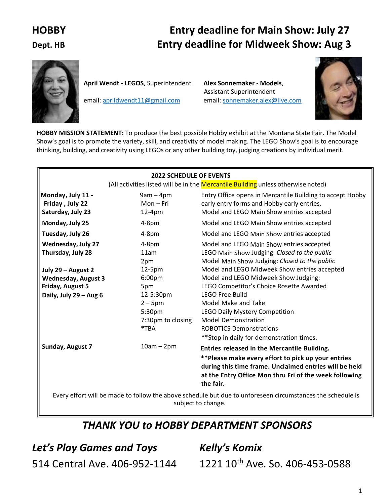# **HOBBY Entry deadline for Main Show: July 27 Dept. HB Entry deadline for Midweek Show: Aug 3**



**April Wendt - LEGOS**, Superintendent **Alex Sonnemaker - Models**,

Assistant Superintendent email: [aprildwendt11@gmail.com](mailto:aprildwendt11@gmail.com) email: [sonnemaker.alex@live.com](mailto:sonnemaker.alex@live.com)



 **HOBBY MISSION STATEMENT:** To produce the best possible Hobby exhibit at the Montana State Fair. The Model Show's goal is to promote the variety, skill, and creativity of model making. The LEGO Show's goal is to encourage thinking, building, and creativity using LEGOs or any other building toy, judging creations by individual merit.

|                                                                                                                                                  | <b>2022 SCHEDULE OF EVENTS</b>                                                                              |                                                                                                                                                                                                                                                                                                                                                                                                        |
|--------------------------------------------------------------------------------------------------------------------------------------------------|-------------------------------------------------------------------------------------------------------------|--------------------------------------------------------------------------------------------------------------------------------------------------------------------------------------------------------------------------------------------------------------------------------------------------------------------------------------------------------------------------------------------------------|
|                                                                                                                                                  |                                                                                                             | (All activities listed will be in the Mercantile Building unless otherwise noted)                                                                                                                                                                                                                                                                                                                      |
| Monday, July 11 -<br>Friday, July 22<br>Saturday, July 23                                                                                        | $9am - 4pm$<br>$Mon-Fri$<br>$12-4pm$                                                                        | Entry Office opens in Mercantile Building to accept Hobby<br>early entry forms and Hobby early entries.<br>Model and LEGO Main Show entries accepted                                                                                                                                                                                                                                                   |
| Monday, July 25                                                                                                                                  | $4-8pm$                                                                                                     | Model and LEGO Main Show entries accepted                                                                                                                                                                                                                                                                                                                                                              |
| Tuesday, July 26                                                                                                                                 | $4-8pm$                                                                                                     | Model and LEGO Main Show entries accepted                                                                                                                                                                                                                                                                                                                                                              |
| <b>Wednesday, July 27</b><br>Thursday, July 28<br>July 29 - August 2<br><b>Wednesday, August 3</b><br>Friday, August 5<br>Daily, July 29 - Aug 6 | $4-8pm$<br>11am<br>2pm<br>12-5pm<br>6:00pm<br>5pm<br>12-5:30pm<br>$2 - 5$ pm<br>5:30pm<br>7:30pm to closing | Model and LEGO Main Show entries accepted<br>LEGO Main Show Judging: Closed to the public<br>Model Main Show Judging: Closed to the public<br>Model and LEGO Midweek Show entries accepted<br>Model and LEGO Midweek Show Judging:<br>LEGO Competitor's Choice Rosette Awarded<br><b>LEGO Free Build</b><br>Model Make and Take<br><b>LEGO Daily Mystery Competition</b><br><b>Model Demonstration</b> |
|                                                                                                                                                  | *TBA                                                                                                        | <b>ROBOTICS Demonstrations</b>                                                                                                                                                                                                                                                                                                                                                                         |
| Sunday, August 7                                                                                                                                 | $10am - 2pm$                                                                                                | ** Stop in daily for demonstration times.<br>Entries released in the Mercantile Building.<br>** Please make every effort to pick up your entries<br>during this time frame. Unclaimed entries will be held<br>at the Entry Office Mon thru Fri of the week following                                                                                                                                   |
|                                                                                                                                                  |                                                                                                             | the fair.                                                                                                                                                                                                                                                                                                                                                                                              |
|                                                                                                                                                  |                                                                                                             | Every effort will be made to follow the above schedule but due to unforeseen circumstances the schedule is<br>subject to change.                                                                                                                                                                                                                                                                       |

# *THANK YOU to HOBBY DEPARTMENT SPONSORS*

*Let's Play Games and Toys* 514 Central Ave. 406-952-1144 *Kelly's Komix* 1221 10th Ave. So. 406-453-0588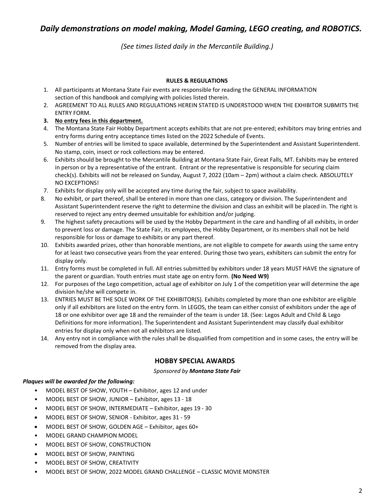# *Daily demonstrations on model making, Model Gaming, LEGO creating, and ROBOTICS.*

*(See times listed daily in the Mercantile Building.)*

#### **RULES & REGULATIONS**

- 1. All participants at Montana State Fair events are responsible for reading the GENERAL INFORMATION section of this handbook and complying with policies listed therein.
- 2. AGREEMENT TO ALL RULES AND REGULATIONS HEREIN STATED IS UNDERSTOOD WHEN THE EXHIBITOR SUBMITS THE ENTRY FORM.
- **3. No entry fees in this department.**
- 4. The Montana State Fair Hobby Department accepts exhibits that are not pre-entered; exhibitors may bring entries and entry forms during entry acceptance times listed on the 2022 Schedule of Events.
- 5. Number of entries will be limited to space available, determined by the Superintendent and Assistant Superintendent. No stamp, coin, insect or rock collections may be entered.
- 6. Exhibits should be brought to the Mercantile Building at Montana State Fair, Great Falls, MT. Exhibits may be entered in person or by a representative of the entrant. Entrant or the representative is responsible for securing claim check(s). Exhibits will not be released on Sunday, August 7, 2022 (10am – 2pm) without a claim check. ABSOLUTELY NO EXCEPTIONS!
- 7. Exhibits for display only will be accepted any time during the fair, subject to space availability.
- 8. No exhibit, or part thereof, shall be entered in more than one class, category or division. The Superintendent and Assistant Superintendent reserve the right to determine the division and class an exhibit will be placed in. The right is reserved to reject any entry deemed unsuitable for exhibition and/or judging.
- 9. The highest safety precautions will be used by the Hobby Department in the care and handling of all exhibits, in order to prevent loss or damage. The State Fair, its employees, the Hobby Department, or its members shall not be held responsible for loss or damage to exhibits or any part thereof.
- 10. Exhibits awarded prizes, other than honorable mentions, are not eligible to compete for awards using the same entry for at least two consecutive years from the year entered. During those two years, exhibiters can submit the entry for display only.
- 11. Entry forms must be completed in full. All entries submitted by exhibitors under 18 years MUST HAVE the signature of the parent or guardian. Youth entries must state age on entry form. **(No Need W9)**
- 12. For purposes of the Lego competition, actual age of exhibitor on July 1 of the competition year will determine the age division he/she will compete in.
- 13. ENTRIES MUST BE THE SOLE WORK OF THE EXHIBITOR(S). Exhibits completed by more than one exhibitor are eligible only if all exhibitors are listed on the entry form. In LEGOS, the team can either consist of exhibitors under the age of 18 or one exhibitor over age 18 and the remainder of the team is under 18. (See: Legos Adult and Child & Lego Definitions for more information). The Superintendent and Assistant Superintendent may classify dual exhibitor entries for display only when not all exhibitors are listed.
- 14. Any entry not in compliance with the rules shall be disqualified from competition and in some cases, the entry will be removed from the display area.

### **HOBBY SPECIAL AWARDS**

#### *Sponsored by Montana State Fair*

#### *Plaques will be awarded for the following:*

- MODEL BEST OF SHOW, YOUTH Exhibitor, ages 12 and under
- MODEL BEST OF SHOW, JUNIOR Exhibitor, ages 13 18
- MODEL BEST OF SHOW, INTERMEDIATE Exhibitor, ages 19 30
- MODEL BEST OF SHOW, SENIOR Exhibitor, ages 31 59
- MODEL BEST OF SHOW, GOLDEN AGE Exhibitor, ages 60+
- MODEL GRAND CHAMPION MODEL
- MODEL BEST OF SHOW, CONSTRUCTION
- MODEL BEST OF SHOW, PAINTING
- MODEL BEST OF SHOW, CREATIVITY
- MODEL BEST OF SHOW, 2022 MODEL GRAND CHALLENGE CLASSIC MOVIE MONSTER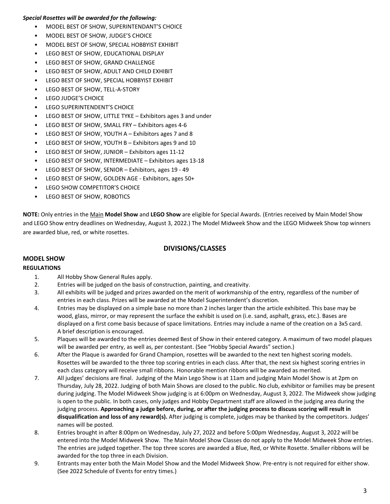#### *Special Rosettes will be awarded for the following:*

- MODEL BEST OF SHOW, SUPERINTENDANT'S CHOICE
- MODEL BEST OF SHOW, JUDGE'S CHOICE
- MODEL BEST OF SHOW, SPECIAL HOBBYIST EXHIBIT
- LEGO BEST OF SHOW, EDUCATIONAL DISPLAY
- LEGO BEST OF SHOW, GRAND CHALLENGE
- LEGO BEST OF SHOW, ADULT AND CHILD EXHIBIT
- LEGO BEST OF SHOW, SPECIAL HOBBYIST EXHIBIT
- LEGO BEST OF SHOW, TELL-A-STORY
- LEGO JUDGE'S CHOICE
- **LEGO SUPERINTENDENT'S CHOICE**
- LEGO BEST OF SHOW, LITTLE TYKE Exhibitors ages 3 and under
- LEGO BEST OF SHOW, SMALL FRY Exhibitors ages 4-6
- LEGO BEST OF SHOW, YOUTH A Exhibitors ages 7 and 8
- LEGO BEST OF SHOW, YOUTH B Exhibitors ages 9 and 10
- LEGO BEST OF SHOW, JUNIOR Exhibitors ages 11-12
- LEGO BEST OF SHOW, INTERMEDIATE Exhibitors ages 13-18
- LEGO BEST OF SHOW, SENIOR Exhibitors, ages 19 49
- LEGO BEST OF SHOW, GOLDEN AGE Exhibitors, ages 50+
- LEGO SHOW COMPETITOR'S CHOICE
- LEGO BEST OF SHOW, ROBOTICS

**NOTE:** Only entries in the Main **Model Show** and **LEGO Show** are eligible for Special Awards. (Entries received by Main Model Show and LEGO Show entry deadlines on Wednesday, August 3, 2022.) The Model Midweek Show and the LEGO Midweek Show top winners are awarded blue, red, or white rosettes.

### **DIVISIONS/CLASSES**

## **MODEL SHOW**

#### **REGULATIONS**

- 1. All Hobby Show General Rules apply.
- 2. Entries will be judged on the basis of construction, painting, and creativity.
- 3. All exhibits will be judged and prizes awarded on the merit of workmanship of the entry, regardless of the number of entries in each class. Prizes will be awarded at the Model Superintendent's discretion.
- 4. Entries may be displayed on a simple base no more than 2 inches larger than the article exhibited. This base may be wood, glass, mirror, or may represent the surface the exhibit is used on (i.e. sand, asphalt, grass, etc.). Bases are displayed on a first come basis because of space limitations. Entries may include a name of the creation on a 3x5 card. A brief description is encouraged.
- 5. Plaques will be awarded to the entries deemed Best of Show in their entered category. A maximum of two model plaques will be awarded per entry, as well as, per contestant. (See "Hobby Special Awards" section.)
- 6. After the Plaque is awarded for Grand Champion, rosettes will be awarded to the next ten highest scoring models. Rosettes will be awarded to the three top scoring entries in each class. After that, the next six highest scoring entries in each class category will receive small ribbons. Honorable mention ribbons will be awarded as merited.
- 7. All judges' decisions are final. Judging of the Main Lego Show is at 11am and judging Main Model Show is at 2pm on Thursday, July 28, 2022. Judging of both Main Shows are closed to the public. No club, exhibitor or families may be present during judging. The Model Midweek Show judging is at 6:00pm on Wednesday, August 3, 2022. The Midweek show judging is open to the public. In both cases, only judges and Hobby Department staff are allowed in the judging area during the judging process. **Approaching a judge before, during, or after the judging process to discuss scoring will result in disqualification and loss of any reward(s).** After judging is complete, judges may be thanked by the competitors. Judges' names will be posted.
- 8. Entries brought in after 8:00pm on Wednesday, July 27, 2022 and before 5:00pm Wednesday, August 3, 2022 will be entered into the Model Midweek Show. The Main Model Show Classes do not apply to the Model Midweek Show entries. The entries are judged together. The top three scores are awarded a Blue, Red, or White Rosette. Smaller ribbons will be awarded for the top three in each Division.
- 9. Entrants may enter both the Main Model Show and the Model Midweek Show. Pre-entry is not required for either show. (See 2022 Schedule of Events for entry times.)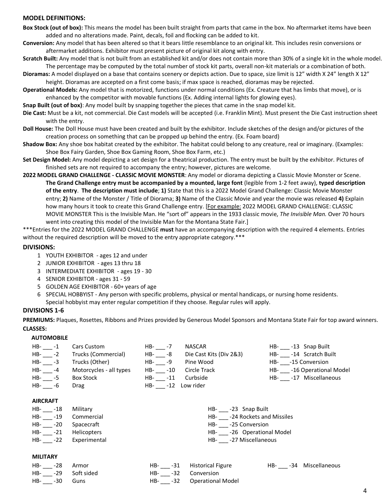#### **MODEL DEFINITIONS:**

- **Box Stock (out of box):** This means the model has been built straight from parts that came in the box. No aftermarket items have been added and no alterations made. Paint, decals, foil and flocking can be added to kit.
- **Conversion:** Any model that has been altered so that it bears little resemblance to an original kit. This includes resin conversions or aftermarket additions. Exhibitor must present picture of original kit along with entry.
- **Scratch Built:** Any model that is not built from an established kit and/or does not contain more than 30% of a single kit in the whole model. The percentage may be computed by the total number of stock kit parts, overall non-kit materials or a combination of both.
- **Dioramas:** A model displayed on a base that contains scenery or depicts action. Due to space, size limit is 12" width X 24" length X 12" height. Dioramas are accepted on a first come basis; if max space is reached, dioramas may be rejected.
- **Operational Models:** Any model that is motorized, functions under normal conditions (Ex. Creature that has limbs that move), or is enhanced by the competitor with movable functions (Ex. Adding internal lights for glowing eyes).
- **Snap Built (out of box)**: Any model built by snapping together the pieces that came in the snap model kit.
- **Die Cast:** Must be a kit, not commercial. Die Cast models will be accepted (i.e. Franklin Mint). Must present the Die Cast instruction sheet with the entry.
- **Doll House:** The Doll House must have been created and built by the exhibitor. Include sketches of the design and/or pictures of the creation process on something that can be propped up behind the entry. (Ex. Foam board)
- **Shadow Box:** Any shoe box habitat created by the exhibitor. The habitat could belong to any creature, real or imaginary. (Examples: Shoe Box Fairy Garden, Shoe Box Gaming Room, Shoe Box Farm, etc.)
- **Set Design Model:** Any model depicting a set design for a theatrical production. The entry must be built by the exhibitor. Pictures of finished sets are not required to accompany the entry; however, pictures are welcome.
- **2022 MODEL GRAND CHALLENGE - CLASSIC MOVIE MONSTER**: Any model or diorama depicting a Classic Movie Monster or Scene. **The Grand Challenge entry must be accompanied by a mounted, large font** (legible from 1-2 feet away), **typed description of the entry**. **The description must include**; **1)** State that this is a 2022 Model Grand Challenge: Classic Movie Monster entry; **2)** Name of the Monster / Title of Diorama; **3)** Name of the Classic Movie and year the movie was released **4)** Explain how many hours it took to create this Grand Challenge entry. [For example: 2022 MODEL GRAND CHALLENGE: CLASSIC MOVIE MONSTER This is the Invisible Man. He "sort of" appears in the 1933 classic movie, *The Invisible Man.* Over 70 hours went into creating this model of the Invisible Man for the Montana State Fair.]

\*\*\*Entries for the 2022 MODEL GRAND CHALLENGE **must** have an accompanying description with the required 4 elements. Entries without the required description will be moved to the entry appropriate category.\*\*\*

#### **DIVISIONS:**

- 1 YOUTH EXHIBITOR ages 12 and under
- 2 JUNIOR EXHIBITOR ages 13 thru 18
- 3 INTERMEDIATE EXHIBITOR ages 19 30
- 4 SENIOR EXHIBITOR ages 31 59
- 5 GOLDEN AGE EXHIBITOR 60+ years of age
- 6 SPECIAL HOBBYIST Any person with specific problems, physical or mental handicaps, or nursing home residents. Special hobbyist may enter regular competition if they choose. Regular rules will apply.

#### **DIVISIONS 1-6**

**PREMIUMS:** Plaques, Rosettes, Ribbons and Prizes provided by Generous Model Sponsors and Montana State Fair for top award winners. **CLASSES:** 

#### **AUTOMOBILE**

| $HB-$ -1        | <b>Cars Custom</b>      | $HB-7$  | <b>NASCAR</b>                | HB- -13 Snap Built        |
|-----------------|-------------------------|---------|------------------------------|---------------------------|
| $HB-2$          | Trucks (Commercial)     | HB- -8  | Die Cast Kits (Div 2&3)      | HB- -14 Scratch Built     |
| $HB- -3$        | Trucks (Other)          | HB- -9  | Pine Wood                    | HB- -15 Conversion        |
| $HB-$ -4        | Motorcycles - all types | HB- -10 | Circle Track                 | HB- -16 Operational Model |
| $HB-$ -5        | Box Stock               | HB- -11 | Curbside                     | HB- -17 Miscellaneous     |
| $HB-$ -6        | <b>Drag</b>             | $HB-12$ | Low rider                    |                           |
|                 |                         |         |                              |                           |
| <b>AIRCRAFT</b> |                         |         |                              |                           |
| $HB-$ -18       | Military                |         | HB- -23 Snap Built           |                           |
| HB- -19         | Commercial              |         | HB- -24 Rockets and Missiles |                           |
| HB- -20         | Spacecraft              |         | HB- -25 Conversion           |                           |
| HB- -21         | <b>Helicopters</b>      |         | HB- -26 Operational Model    |                           |
| $HB-22$         | Experimental            |         | HB- -27 Miscellaneous        |                           |
|                 |                         |         |                              |                           |

#### **MILITARY**

|                  | HB- ___ -28 Armor      |                    | HB- ___-31 Historical Figure | HB- -34 Miscellaneous |
|------------------|------------------------|--------------------|------------------------------|-----------------------|
|                  | HB- ___ -29 Soft sided | HB- -32 Conversion |                              |                       |
| HB- ___ -30 Guns |                        |                    | HB- -32 Operational Model    |                       |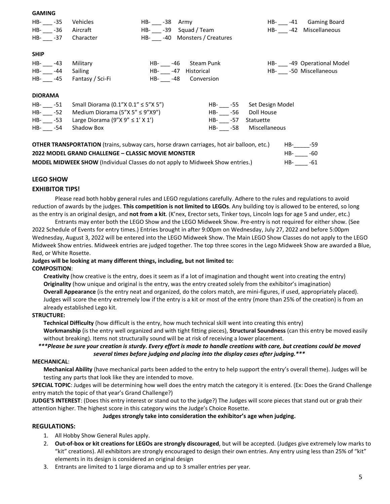#### **GAMING**

| HB- -35<br>HB- -36<br>HB- -37                   | Vehicles<br>Aircraft<br>Character                                                                                                                                                                                                             | HB- -38<br>Army<br>HB- -39 Squad / Team<br>HB- -40 Monsters / Creatures |                               |                                                                      | HB- -41 Gaming Board<br>HB- -42 Miscellaneous              |
|-------------------------------------------------|-----------------------------------------------------------------------------------------------------------------------------------------------------------------------------------------------------------------------------------------------|-------------------------------------------------------------------------|-------------------------------|----------------------------------------------------------------------|------------------------------------------------------------|
| <b>SHIP</b><br>HB- __ -43<br>HB- -44            | Military<br>Sailing<br>HB- ___ -45 Fantasy / Sci-Fi                                                                                                                                                                                           | HB- ___ -46 Steam Punk<br>HB- -47 Historical<br>HB- __ -48 Conversion   |                               |                                                                      | HB- ____ -49 Operational Model<br>HB- __ -50 Miscellaneous |
| <b>DIORAMA</b><br>HB- -51<br>HB- -52<br>HB- -54 | Small Diorama (0.1"X $0.1'' \le 5''$ X 5")<br>Medium Diorama (5"X 5" $\leq$ 9"X9")<br>HB- $-53$ Large Diorama (9"X 9" $\leq 1'$ X 1')<br>Shadow Box                                                                                           |                                                                         | HB- -56<br>HB- -57<br>HB- -58 | HB- -55 Set Design Model<br>Doll House<br>Statuette<br>Miscellaneous |                                                            |
|                                                 | <b>OTHER TRANSPORTATION</b> (trains, subway cars, horse drawn carriages, hot air balloon, etc.)<br>2022 MODEL GRAND CHALLENGE - CLASSIC MOVIE MONSTER<br><b>MODEL MIDWEEK SHOW</b> (Individual Classes do not apply to Midweek Show entries.) |                                                                         |                               | HB-                                                                  | $HB----59$<br>HB- -60<br>-61                               |

#### **LEGO SHOW**

#### **EXHIBITOR TIPS!**

Please read both hobby general rules and LEGO regulations carefully. Adhere to the rules and regulations to avoid reduction of awards by the judges. **This competition is not limited to LEGOs**. Any building toy is allowed to be entered, so long as the entry is an original design, and **not from a kit**. (K'nex, Erector sets, Tinker toys, Lincoln logs for age 5 and under, etc.)

Entrants may enter both the LEGO Show and the LEGO Midweek Show. Pre-entry is not required for either show. (See 2022 Schedule of Events for entry times.) Entries brought in after 9:00pm on Wednesday, July 27, 2022 and before 5:00pm Wednesday, August 3, 2022 will be entered into the LEGO Midweek Show. The Main LEGO Show Classes do not apply to the LEGO Midweek Show entries. Midweek entries are judged together. The top three scores in the Lego Midweek Show are awarded a Blue, Red, or White Rosette.

#### **Judges will be looking at many different things, including, but not limited to:**

#### **COMPOSITION**:

**Creativity** (how creative is the entry, does it seem as if a lot of imagination and thought went into creating the entry) **Originality** (how unique and original is the entry, was the entry created solely from the exhibitor's imagination) **Overall Appearance** (is the entry neat and organized, do the colors match, are mini-figures, if used, appropriately placed). Judges will score the entry extremely low if the entry is a kit or most of the entry (more than 25% of the creation) is from an already established Lego kit.

#### **STRUCTURE:**

**Technical Difficulty** (how difficult is the entry, how much technical skill went into creating this entry) **Workmanship** (is the entry well organized and with tight fitting pieces), **Structural Soundness** (can this entry be moved easily without breaking). Items not structurally sound will be at risk of receiving a lower placement.

### *\*\*\*Please be sure your creation is sturdy. Every effort is made to handle creations with care, but creations could be moved several times before judging and placing into the display cases after judging.\*\*\**

#### **MECHANICAL**:

**Mechanical Ability** (have mechanical parts been added to the entry to help support the entry's overall theme). Judges will be testing any parts that look like they are intended to move.

**SPECIAL TOPIC**: Judges will be determining how well does the entry match the category it is entered. (Ex: Does the Grand Challenge entry match the topic of that year's Grand Challenge?)

**JUDGE'S INTEREST**: (Does this entry interest or stand out to the judge?) The Judges will score pieces that stand out or grab their attention higher. The highest score in this category wins the Judge's Choice Rosette.

#### **Judges strongly take into consideration the exhibitor's age when judging.**

#### **REGULATIONS:**

- 1. All Hobby Show General Rules apply.
- 2. **Out-of-box or kit creations for LEGOs are strongly discouraged**, but will be accepted. (Judges give extremely low marks to "kit" creations). All exhibitors are strongly encouraged to design their own entries. Any entry using less than 25% of "kit" elements in its design is considered an original design
- 3. Entrants are limited to 1 large diorama and up to 3 smaller entries per year.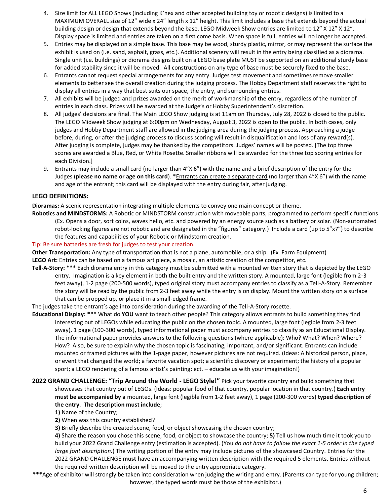- 4. Size limit for ALL LEGO Shows (including K'nex and other accepted building toy or robotic designs) is limited to a MAXIMUM OVERALL size of 12" wide x 24" length x 12" height. This limit includes a base that extends beyond the actual building design or design that extends beyond the base. LEGO Midweek Show entries are limited to 12" X 12" X 12". Display space is limited and entries are taken on a first come basis. When space is full, entries will no longer be accepted.
- 5. Entries may be displayed on a simple base. This base may be wood, sturdy plastic, mirror, or may represent the surface the exhibit is used on (i.e. sand, asphalt, grass, etc.). Additional scenery will result in the entry being classified as a diorama. Single unit (i.e. buildings) or diorama designs built on a LEGO base plate MUST be supported on an additional sturdy base for added stability since it will be moved. All constructions on any type of base must be securely fixed to the base.
- 6. Entrants cannot request special arrangements for any entry. Judges test movement and sometimes remove smaller elements to better see the overall creation during the judging process. The Hobby Department staff reserves the right to display all entries in a way that best suits our space, the entry, and surrounding entries.
- 7. All exhibits will be judged and prizes awarded on the merit of workmanship of the entry, regardless of the number of entries in each class. Prizes will be awarded at the Judge's or Hobby Superintendent's discretion.
- 8. All judges' decisions are final. The Main LEGO Show judging is at 11am on Thursday, July 28, 2022 is closed to the public. The LEGO Midweek Show judging at 6:00pm on Wednesday, August 3, 2022 is open to the public. In both cases, only judges and Hobby Department staff are allowed in the judging area during the judging process. Approaching a judge before, during, or after the judging process to discuss scoring will result in disqualification and loss of any reward(s). After judging is complete, judges may be thanked by the competitors. Judges' names will be posted. [The top three scores are awarded a Blue, Red, or White Rosette. Smaller ribbons will be awarded for the three top scoring entries for each Division.]
- 9. Entrants may include a small card (no larger than 4"X 6") with the name and a brief description of the entry for the Judges (**please no name or age on this card**). \*Entrants can create a separate card (no larger than 4"X 6") with the name and age of the entrant; this card will be displayed with the entry during fair, after judging.

#### **LEGO DEFINITIONS:**

**Dioramas:** A scenic representation integrating multiple elements to convey one main concept or theme.

**Robotics and MINDSTORMS:** A Robotic or MINDSTORM construction with moveable parts, programmed to perform specific functions (Ex. Opens a door, sort coins, waves hello, etc. and powered by an energy source such as a battery or solar. (Non-automated robot-looking figures are not robotic and are designated in the "figures" category.) Include a card (up to 5"x7") to describe the features and capabilities of your Robotic or Mindstorm creation.

#### Tip: Be sure batteries are fresh for judges to test your creation.

**Other Transportation:** Any type of transportation that is not a plane, automobile, or a ship. (Ex. Farm Equipment) **LEGO Art:** Entries can be based on a famous art piece, a mosaic, an artistic creation of the competitor, etc.

**Tell-A-Story: \*\*\*** Each diorama entry in this category must be submitted with a mounted written story that is depicted by the LEGO entry. Imagination is a key element in both the built entry and the written story. A mounted, large font (legible from 2-3 feet away), 1-2 page (200-500 words), typed original story must accompany entries to classify as a Tell-A-Story. Remember the story will be read by the public from 2-3 feet away while the entry is on display. Mount the written story on a surface that can be propped up, or place it in a small-edged frame.

The judges take the entrant's age into consideration during the awarding of the Tell-A-Story rosette.

- **Educational Display: \*\*\*** What do **YOU** want to teach other people? This category allows entrants to build something they find interesting out of LEGOs while educating the public on the chosen topic. A mounted, large font (legible from 2-3 feet away), 1 page (100-300 words), typed informational paper must accompany entries to classify as an Educational Display. The informational paper provides answers to the following questions (where applicable): Who? What? When? Where? How? Also, be sure to explain why the chosen topic is fascinating, important, and/or significant. Entrants can include mounted or framed pictures with the 1-page paper, however pictures are not required. (Ideas: A historical person, place, or event that changed the world; a favorite vacation spot; a scientific discovery or experiment; the history of a popular sport; a LEGO rendering of a famous artist's painting; ect. – educate us with your imagination!)
- **2022 GRAND CHALLENGE: "Trip Around the World - LEGO Style!"** Pick your favorite country and build something that showcases that country out of LEGOs. (Ideas: popular food of that country, popular location in that country.) **Each entry must be accompanied by a** mounted, large font (legible from 1-2 feet away), 1 page (200-300 words) **typed description of the entry**. **The description must include**;
	- **1)** Name of the Country;
	- **2)** When was this country established?

**3)** Briefly describe the created scene, food, or object showcasing the chosen country;

**4)** Share the reason you chose this scene, food, or object to showcase the country; **5)** Tell us how much time it took you to build your 2022 Grand Challenge entry (estimation is accepted). (You *do not have to follow the exact 1-5 order in the typed large font description.*) The writing portion of the entry may include pictures of the showcased Country. Entries for the 2022 GRAND CHALLENGE **must** have an accompanying written description with the required 5 elements. Entries without the required written description will be moved to the entry appropriate category.

**\*\*\***Age of exhibitor will strongly be taken into consideration when judging the writing and entry. (Parents can type for young children; however, the typed words must be those of the exhibitor.)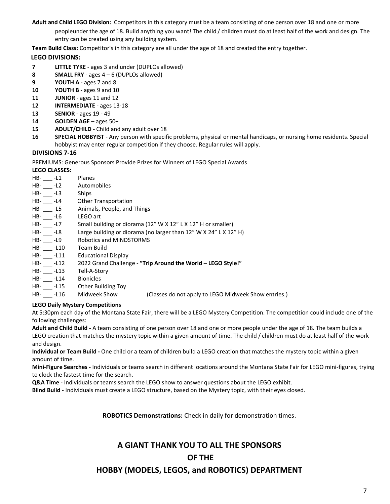**Adult and Child LEGO Division:** Competitors in this category must be a team consisting of one person over 18 and one or more

peopleunder the age of 18. Build anything you want! The child / children must do at least half of the work and design. The entry can be created using any building system.

**Team Build Class:** Competitor's in this category are all under the age of 18 and created the entry together.

#### **LEGO DIVISIONS:**

- **7 LITTLE TYKE** ages 3 and under (DUPLOs allowed)
- **8 SMALL FRY** ages 4 6 (DUPLOs allowed)
- **9 YOUTH A** ages 7 and 8
- **10 YOUTH B** ages 9 and 10
- **11 JUNIOR** ages 11 and 12
- **12 INTERMEDIATE** ages 13-18
- **13 SENIOR** ages 19 49
- **14 GOLDEN AGE** ages 50+
- **15 ADULT/CHILD** Child and any adult over 18
- **16 SPECIAL HOBBYIST** Any person with specific problems, physical or mental handicaps, or nursing home residents. Special hobbyist may enter regular competition if they choose. Regular rules will apply.

#### **DIVISIONS 7-16**

PREMIUMS: Generous Sponsors Provide Prizes for Winners of LEGO Special Awards

#### **LEGO CLASSES:**

| $HB-11$      | Planes                                                                        |
|--------------|-------------------------------------------------------------------------------|
| $HB$ - $-L2$ | Automobiles                                                                   |
| $HB-13$      | <b>Ships</b>                                                                  |
| $HB$ - $-L4$ | <b>Other Transportation</b>                                                   |
| $HB-15$      | Animals, People, and Things                                                   |
| HB- ___ -L6  | LEGO art                                                                      |
| $HB-$ -L7    | Small building or diorama (12" W X 12" L X 12" H or smaller)                  |
| HB- -L8      | Large building or diorama (no larger than 12" W X 24" L X 12" H)              |
| HB- -L9      | Robotics and MINDSTORMS                                                       |
| HB- -L10     | Team Build                                                                    |
| HB- -L11     | <b>Educational Display</b>                                                    |
| $HB-12$      | 2022 Grand Challenge - "Trip Around the World - LEGO Style!"                  |
| HB- -L13     | Tell-A-Story                                                                  |
| HB- -L14     | <b>Bionicles</b>                                                              |
|              | HB- -L15 Other Building Toy                                                   |
|              | HB- -L16 Midweek Show<br>(Classes do not apply to LEGO Midweek Show entries.) |
|              |                                                                               |

#### **LEGO Daily Mystery Competitions**

At 5:30pm each day of the Montana State Fair, there will be a LEGO Mystery Competition. The competition could include one of the following challenges:

**Adult and Child Build -** A team consisting of one person over 18 and one or more people under the age of 18. The team builds a LEGO creation that matches the mystery topic within a given amount of time. The child / children must do at least half of the work and design.

**Individual or Team Build -** One child or a team of children build a LEGO creation that matches the mystery topic within a given amount of time.

**Mini-Figure Searches -** Individuals or teams search in different locations around the Montana State Fair for LEGO mini-figures, trying to clock the fastest time for the search.

**Q&A Time** - Individuals or teams search the LEGO show to answer questions about the LEGO exhibit.

**Blind Build -** Individuals must create a LEGO structure, based on the Mystery topic, with their eyes closed.

**ROBOTICS Demonstrations:** Check in daily for demonstration times.

# **A GIANT THANK YOU TO ALL THE SPONSORS OF THE**

## **HOBBY (MODELS, LEGOS, and ROBOTICS) DEPARTMENT**